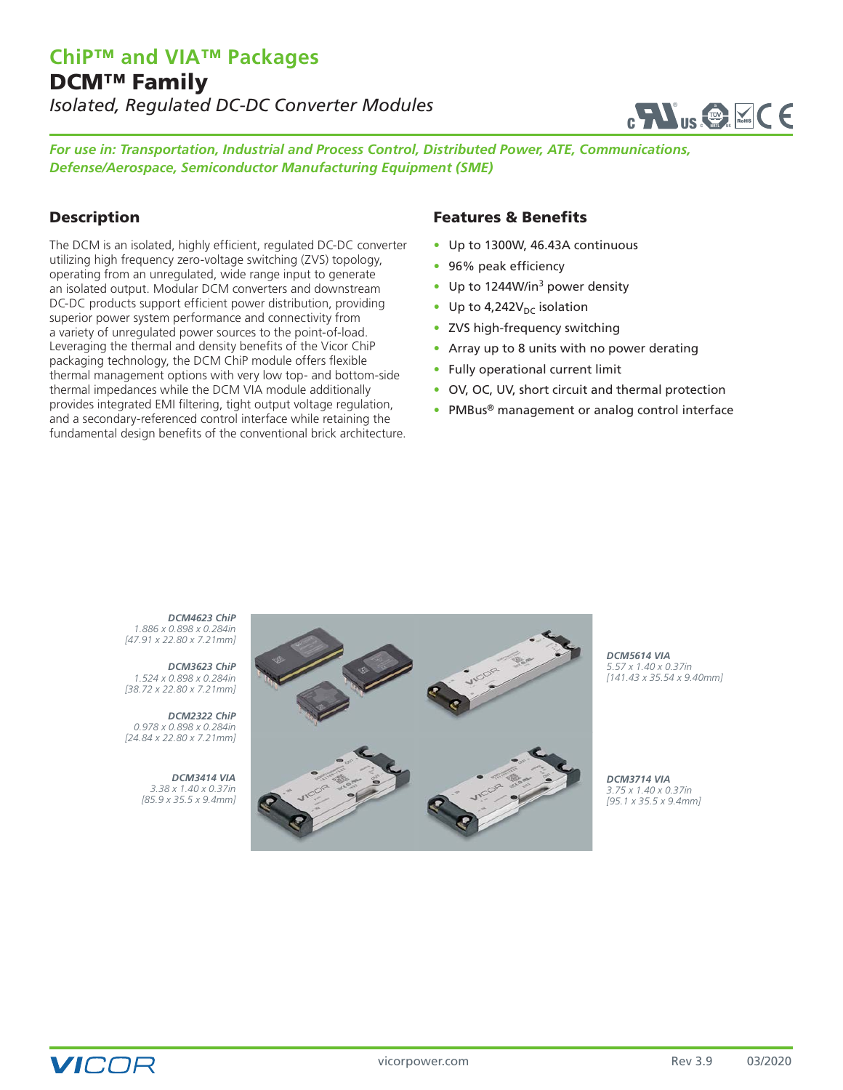

*For use in: Transportation, Industrial and Process Control, Distributed Power, ATE, Communications, Defense/Aerospace, Semiconductor Manufacturing Equipment (SME)*

## Description

The DCM is an isolated, highly efficient, regulated DC-DC converter utilizing high frequency zero-voltage switching (ZVS) topology, operating from an unregulated, wide range input to generate an isolated output. Modular DCM converters and downstream DC-DC products support efficient power distribution, providing superior power system performance and connectivity from a variety of unregulated power sources to the point-of-load. Leveraging the thermal and density benefits of the Vicor ChiP packaging technology, the DCM ChiP module offers flexible thermal management options with very low top- and bottom-side thermal impedances while the DCM VIA module additionally provides integrated EMI filtering, tight output voltage regulation, and a secondary-referenced control interface while retaining the fundamental design benefits of the conventional brick architecture.

#### Features & Benefits

- Up to 1300W, 46.43A continuous
- 96% peak efficiency
- Up to 1244W/in<sup>3</sup> power density
- Up to  $4,242V<sub>DC</sub>$  isolation
- ZVS high-frequency switching
- Array up to 8 units with no power derating
- Fully operational current limit
- OV, OC, UV, short circuit and thermal protection
- PMBus<sup>®</sup> management or analog control interface

*DCM4623 ChiP 1.886 x 0.898 x 0.284in [47.91 x 22.80 x 7.21mm]*

*DCM3623 ChiP 1.524 x 0.898 x 0.284in [38.72 x 22.80 x 7.21mm]*

*DCM2322 ChiP 0.978 x 0.898 x 0.284in [24.84 x 22.80 x 7.21mm]*

> *DCM3414 VIA 3.38 x 1.40 x 0.37in [85.9 x 35.5 x 9.4mm]*



*DCM5614 VIA 5.57 x 1.40 x 0.37in [141.43 x 35.54 x 9.40mm]*

*DCM3714 VIA 3.75 x 1.40 x 0.37in [95.1 x 35.5 x 9.4mm]*

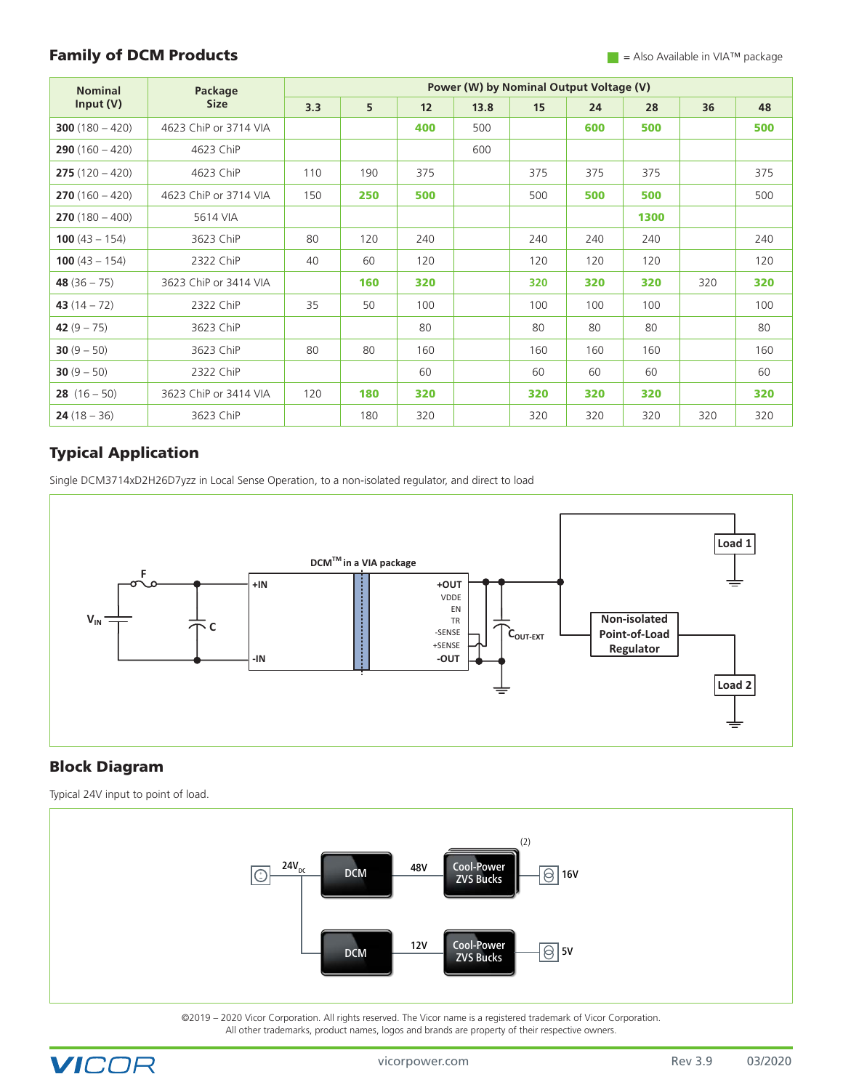### **Family of DCM Products**  $\blacksquare$  Also Available in VIA™ package

| <b>Nominal</b><br>Input (V) | Package<br><b>Size</b> | Power (W) by Nominal Output Voltage (V) |     |     |      |     |     |      |     |     |
|-----------------------------|------------------------|-----------------------------------------|-----|-----|------|-----|-----|------|-----|-----|
|                             |                        | 3.3                                     | 5   | 12  | 13.8 | 15  | 24  | 28   | 36  | 48  |
| $300(180 - 420)$            | 4623 ChiP or 3714 VIA  |                                         |     | 400 | 500  |     | 600 | 500  |     | 500 |
| $290(160 - 420)$            | 4623 ChiP              |                                         |     |     | 600  |     |     |      |     |     |
| $275(120 - 420)$            | 4623 ChiP              | 110                                     | 190 | 375 |      | 375 | 375 | 375  |     | 375 |
| $270(160 - 420)$            | 4623 ChiP or 3714 VIA  | 150                                     | 250 | 500 |      | 500 | 500 | 500  |     | 500 |
| $270(180 - 400)$            | 5614 VIA               |                                         |     |     |      |     |     | 1300 |     |     |
| <b>100</b> $(43 - 154)$     | 3623 ChiP              | 80                                      | 120 | 240 |      | 240 | 240 | 240  |     | 240 |
| <b>100</b> $(43 - 154)$     | 2322 ChiP              | 40                                      | 60  | 120 |      | 120 | 120 | 120  |     | 120 |
| 48 $(36 - 75)$              | 3623 ChiP or 3414 VIA  |                                         | 160 | 320 |      | 320 | 320 | 320  | 320 | 320 |
| 43 $(14 - 72)$              | 2322 ChiP              | 35                                      | 50  | 100 |      | 100 | 100 | 100  |     | 100 |
| 42 $(9 - 75)$               | 3623 ChiP              |                                         |     | 80  |      | 80  | 80  | 80   |     | 80  |
| 30 $(9 - 50)$               | 3623 ChiP              | 80                                      | 80  | 160 |      | 160 | 160 | 160  |     | 160 |
| 30 $(9 - 50)$               | 2322 ChiP              |                                         |     | 60  |      | 60  | 60  | 60   |     | 60  |
| <b>28</b> $(16 - 50)$       | 3623 ChiP or 3414 VIA  | 120                                     | 180 | 320 |      | 320 | 320 | 320  |     | 320 |
| $24(18 - 36)$               | 3623 ChiP              |                                         | 180 | 320 |      | 320 | 320 | 320  | 320 | 320 |

## Typical Application

Single DCM3714xD2H26D7yzz in Local Sense Operation, to a non-isolated regulator, and direct to load



## Block Diagram

Typical 24V input to point of load.



©2019 – 2020 Vicor Corporation. All rights reserved. The Vicor name is a registered trademark of Vicor Corporation. All other trademarks, product names, logos and brands are property of their respective owners.